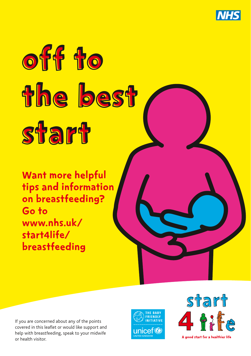

# off to the best start

Want more helpful tips and information on breastfeeding? Go to www.nhs.uk/ start4life/ breastfeeding

If you are concerned about any of the points covered in this leaflet or would like support and help with breastfeeding, speak to your midwife or health visitor.



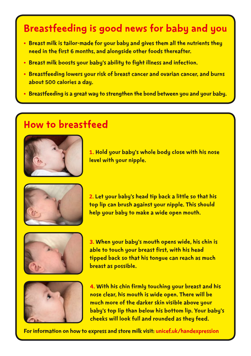## Breastfeeding is good news for baby and you

- Breast milk is tailor-made for your baby and gives them all the nutrients they need in the first 6 months, and alongside other foods thereafter.
- Breast milk boosts your baby's ability to fight illness and infection.
- Breastfeeding lowers your risk of breast cancer and ovarian cancer, and burns about 500 calories a day.
- Breastfeeding is a great way to strengthen the bond between you and your baby.

## How to breastfeed



1. Hold your baby's whole body close with his nose level with your nipple.



2. Let your baby's head tip back a little so that his top lip can brush against your nipple. This should help your baby to make a wide open mouth.



3. When your baby's mouth opens wide, his chin is able to touch your breast first, with his head tipped back so that his tongue can reach as much breast as possible.



4. With his chin firmly touching your breast and his nose clear, his mouth is wide open. There will be much more of the darker skin visible above your baby's top lip than below his bottom lip. Your baby's cheeks will look full and rounded as they feed.

For information on how to express and store milk visit: [unicef.uk/handexpression](https://www.unicef.org.uk/babyfriendly/baby-friendly-resources/video/hand-expression/?utm_source=shorturl&utm_medium=shorturl&utm_campaign=shorturl&utm_content=shorturl-handexpression)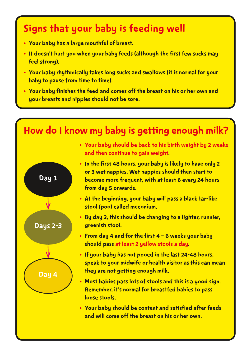# Signs that your baby is feeding well

- Your baby has a large mouthful of breast.
- It doesn't hurt you when your baby feeds (although the first few sucks may feel strong).
- Your baby rhythmically takes long sucks and swallows (it is normal for your baby to pause from time to time).
- Your baby finishes the feed and comes off the breast on his or her own and your breasts and nipples should not be sore.

# How do I know my baby is getting enough milk?



- Your baby should be back to his birth weight by 2 weeks and then continue to gain weight.
- In the first 48 hours, your baby is likely to have only 2 or 3 wet nappies. Wet nappies should then start to become more frequent, with at least 6 every 24 hours from day 5 onwards.
- At the beginning, your baby will pass a black tar-like stool (poo) called meconium.
- By day 3, this should be changing to a lighter, runnier, greenish stool.
- From day 4 and for the first 4 6 weeks your baby should pass at least 2 yellow stools a day.
- If your baby has not pooed in the last 24-48 hours, speak to your midwife or health visitor as this can mean they are not getting enough milk.
- Most babies pass lots of stools and this is a good sign. Remember, it's normal for breastfed babies to pass loose stools.
- Your baby should be content and satisfied after feeds and will come off the breast on his or her own.